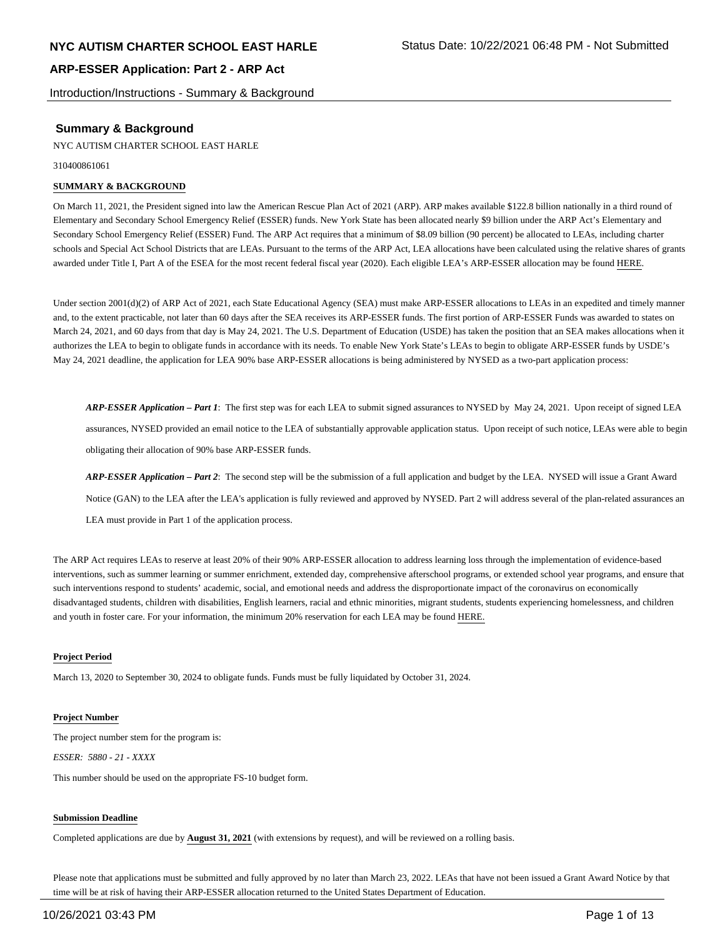Introduction/Instructions - Summary & Background

## **Summary & Background**

NYC AUTISM CHARTER SCHOOL EAST HARLE

310400861061

#### **SUMMARY & BACKGROUND**

On March 11, 2021, the President signed into law the American Rescue Plan Act of 2021 (ARP). ARP makes available \$122.8 billion nationally in a third round of Elementary and Secondary School Emergency Relief (ESSER) funds. New York State has been allocated nearly \$9 billion under the ARP Act's Elementary and Secondary School Emergency Relief (ESSER) Fund. The ARP Act requires that a minimum of \$8.09 billion (90 percent) be allocated to LEAs, including charter schools and Special Act School Districts that are LEAs. Pursuant to the terms of the ARP Act, LEA allocations have been calculated using the relative shares of grants awarded under Title I, Part A of the ESEA for the most recent federal fiscal year (2020). Each eligible LEA's ARP-ESSER allocation may be found HERE.

Under section 2001(d)(2) of ARP Act of 2021, each State Educational Agency (SEA) must make ARP-ESSER allocations to LEAs in an expedited and timely manner and, to the extent practicable, not later than 60 days after the SEA receives its ARP-ESSER funds. The first portion of ARP-ESSER Funds was awarded to states on March 24, 2021, and 60 days from that day is May 24, 2021. The U.S. Department of Education (USDE) has taken the position that an SEA makes allocations when it authorizes the LEA to begin to obligate funds in accordance with its needs. To enable New York State's LEAs to begin to obligate ARP-ESSER funds by USDE's May 24, 2021 deadline, the application for LEA 90% base ARP-ESSER allocations is being administered by NYSED as a two-part application process:

*ARP-ESSER Application – Part 1*: The first step was for each LEA to submit signed assurances to NYSED by May 24, 2021. Upon receipt of signed LEA assurances, NYSED provided an email notice to the LEA of substantially approvable application status. Upon receipt of such notice, LEAs were able to begin obligating their allocation of 90% base ARP-ESSER funds.

*ARP-ESSER Application – Part 2*: The second step will be the submission of a full application and budget by the LEA. NYSED will issue a Grant Award Notice (GAN) to the LEA after the LEA's application is fully reviewed and approved by NYSED. Part 2 will address several of the plan-related assurances an LEA must provide in Part 1 of the application process.

The ARP Act requires LEAs to reserve at least 20% of their 90% ARP-ESSER allocation to address learning loss through the implementation of evidence-based interventions, such as summer learning or summer enrichment, extended day, comprehensive afterschool programs, or extended school year programs, and ensure that such interventions respond to students' academic, social, and emotional needs and address the disproportionate impact of the coronavirus on economically disadvantaged students, children with disabilities, English learners, racial and ethnic minorities, migrant students, students experiencing homelessness, and children and youth in foster care. For your information, the minimum 20% reservation for each LEA may be found HERE.

#### **Project Period**

March 13, 2020 to September 30, 2024 to obligate funds. Funds must be fully liquidated by October 31, 2024.

#### **Project Number**

The project number stem for the program is: *ESSER: 5880 - 21 - XXXX*

This number should be used on the appropriate FS-10 budget form.

#### **Submission Deadline**

Completed applications are due by **August 31, 2021** (with extensions by request), and will be reviewed on a rolling basis.

Please note that applications must be submitted and fully approved by no later than March 23, 2022. LEAs that have not been issued a Grant Award Notice by that time will be at risk of having their ARP-ESSER allocation returned to the United States Department of Education.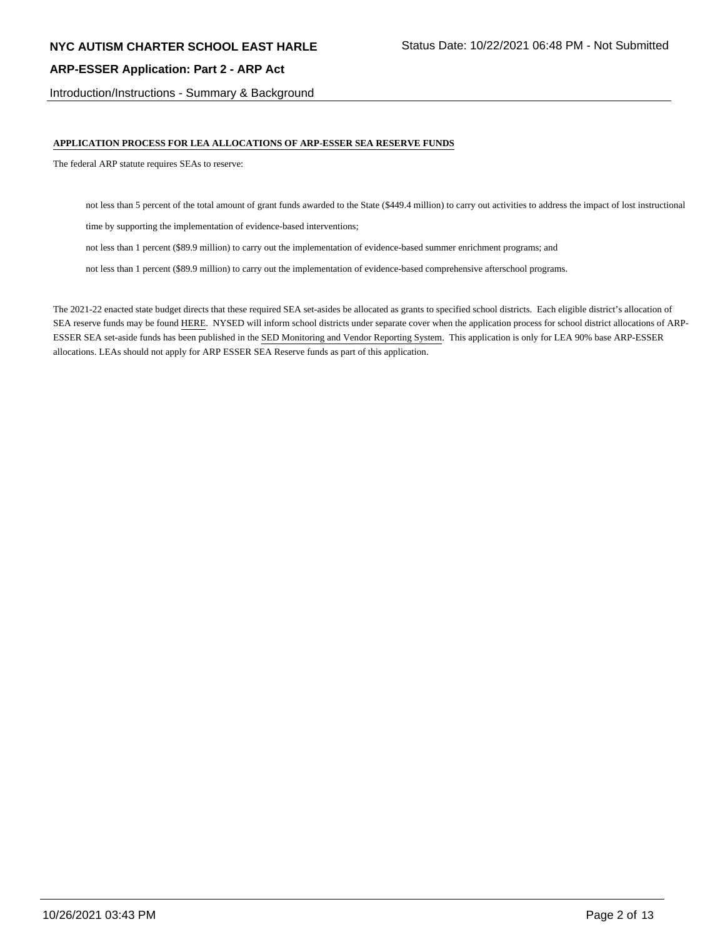Introduction/Instructions - Summary & Background

#### **APPLICATION PROCESS FOR LEA ALLOCATIONS OF ARP-ESSER SEA RESERVE FUNDS**

The federal ARP statute requires SEAs to reserve:

not less than 5 percent of the total amount of grant funds awarded to the State (\$449.4 million) to carry out activities to address the impact of lost instructional

time by supporting the implementation of evidence-based interventions;

not less than 1 percent (\$89.9 million) to carry out the implementation of evidence-based summer enrichment programs; and

not less than 1 percent (\$89.9 million) to carry out the implementation of evidence-based comprehensive afterschool programs.

The 2021-22 enacted state budget directs that these required SEA set-asides be allocated as grants to specified school districts. Each eligible district's allocation of SEA reserve funds may be found HERE. NYSED will inform school districts under separate cover when the application process for school district allocations of ARP-ESSER SEA set-aside funds has been published in the SED Monitoring and Vendor Reporting System. This application is only for LEA 90% base ARP-ESSER allocations. LEAs should not apply for ARP ESSER SEA Reserve funds as part of this application.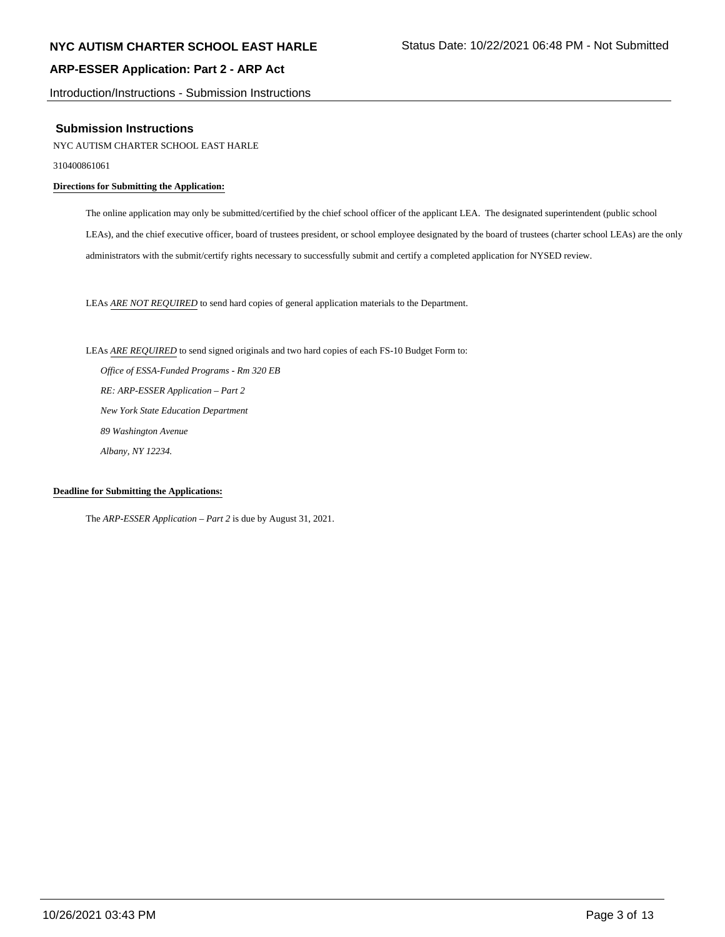Introduction/Instructions - Submission Instructions

#### **Submission Instructions**

NYC AUTISM CHARTER SCHOOL EAST HARLE

310400861061

#### **Directions for Submitting the Application:**

The online application may only be submitted/certified by the chief school officer of the applicant LEA. The designated superintendent (public school LEAs), and the chief executive officer, board of trustees president, or school employee designated by the board of trustees (charter school LEAs) are the only administrators with the submit/certify rights necessary to successfully submit and certify a completed application for NYSED review.

LEAs *ARE NOT REQUIRED* to send hard copies of general application materials to the Department.

LEAs *ARE REQUIRED* to send signed originals and two hard copies of each FS-10 Budget Form to:  *Office of ESSA-Funded Programs - Rm 320 EB RE: ARP-ESSER Application – Part 2 New York State Education Department 89 Washington Avenue Albany, NY 12234.*

#### **Deadline for Submitting the Applications:**

The *ARP-ESSER Application – Part 2* is due by August 31, 2021.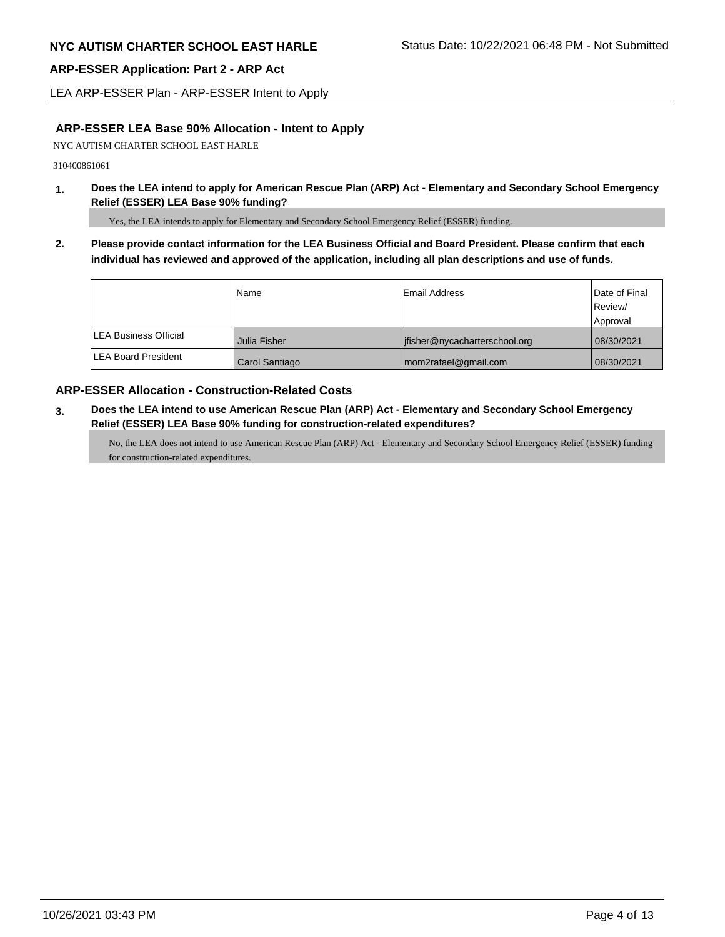LEA ARP-ESSER Plan - ARP-ESSER Intent to Apply

## **ARP-ESSER LEA Base 90% Allocation - Intent to Apply**

NYC AUTISM CHARTER SCHOOL EAST HARLE

310400861061

**1. Does the LEA intend to apply for American Rescue Plan (ARP) Act - Elementary and Secondary School Emergency Relief (ESSER) LEA Base 90% funding?**

Yes, the LEA intends to apply for Elementary and Secondary School Emergency Relief (ESSER) funding.

**2. Please provide contact information for the LEA Business Official and Board President. Please confirm that each individual has reviewed and approved of the application, including all plan descriptions and use of funds.** 

|                              | Name           | Email Address                 | Date of Final<br>Review/ |
|------------------------------|----------------|-------------------------------|--------------------------|
|                              |                |                               | Approval                 |
| <b>LEA Business Official</b> | Julia Fisher   | jfisher@nycacharterschool.org | 08/30/2021               |
| <b>ILEA Board President</b>  | Carol Santiago | mom2rafael@gmail.com          | 08/30/2021               |

## **ARP-ESSER Allocation - Construction-Related Costs**

**3. Does the LEA intend to use American Rescue Plan (ARP) Act - Elementary and Secondary School Emergency Relief (ESSER) LEA Base 90% funding for construction-related expenditures?**

No, the LEA does not intend to use American Rescue Plan (ARP) Act - Elementary and Secondary School Emergency Relief (ESSER) funding for construction-related expenditures.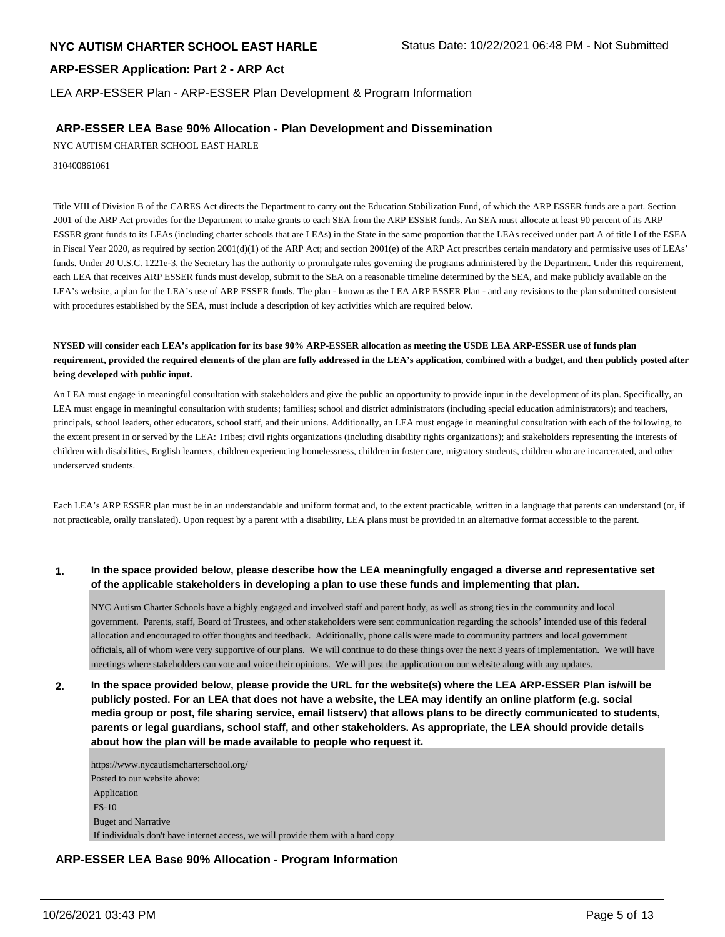LEA ARP-ESSER Plan - ARP-ESSER Plan Development & Program Information

## **ARP-ESSER LEA Base 90% Allocation - Plan Development and Dissemination**

NYC AUTISM CHARTER SCHOOL EAST HARLE

310400861061

Title VIII of Division B of the CARES Act directs the Department to carry out the Education Stabilization Fund, of which the ARP ESSER funds are a part. Section 2001 of the ARP Act provides for the Department to make grants to each SEA from the ARP ESSER funds. An SEA must allocate at least 90 percent of its ARP ESSER grant funds to its LEAs (including charter schools that are LEAs) in the State in the same proportion that the LEAs received under part A of title I of the ESEA in Fiscal Year 2020, as required by section 2001(d)(1) of the ARP Act; and section 2001(e) of the ARP Act prescribes certain mandatory and permissive uses of LEAs' funds. Under 20 U.S.C. 1221e-3, the Secretary has the authority to promulgate rules governing the programs administered by the Department. Under this requirement, each LEA that receives ARP ESSER funds must develop, submit to the SEA on a reasonable timeline determined by the SEA, and make publicly available on the LEA's website, a plan for the LEA's use of ARP ESSER funds. The plan - known as the LEA ARP ESSER Plan - and any revisions to the plan submitted consistent with procedures established by the SEA, must include a description of key activities which are required below.

#### **NYSED will consider each LEA's application for its base 90% ARP-ESSER allocation as meeting the USDE LEA ARP-ESSER use of funds plan requirement, provided the required elements of the plan are fully addressed in the LEA's application, combined with a budget, and then publicly posted after being developed with public input.**

An LEA must engage in meaningful consultation with stakeholders and give the public an opportunity to provide input in the development of its plan. Specifically, an LEA must engage in meaningful consultation with students; families; school and district administrators (including special education administrators); and teachers, principals, school leaders, other educators, school staff, and their unions. Additionally, an LEA must engage in meaningful consultation with each of the following, to the extent present in or served by the LEA: Tribes; civil rights organizations (including disability rights organizations); and stakeholders representing the interests of children with disabilities, English learners, children experiencing homelessness, children in foster care, migratory students, children who are incarcerated, and other underserved students.

Each LEA's ARP ESSER plan must be in an understandable and uniform format and, to the extent practicable, written in a language that parents can understand (or, if not practicable, orally translated). Upon request by a parent with a disability, LEA plans must be provided in an alternative format accessible to the parent.

#### **1. In the space provided below, please describe how the LEA meaningfully engaged a diverse and representative set of the applicable stakeholders in developing a plan to use these funds and implementing that plan.**

NYC Autism Charter Schools have a highly engaged and involved staff and parent body, as well as strong ties in the community and local government. Parents, staff, Board of Trustees, and other stakeholders were sent communication regarding the schools' intended use of this federal allocation and encouraged to offer thoughts and feedback. Additionally, phone calls were made to community partners and local government officials, all of whom were very supportive of our plans. We will continue to do these things over the next 3 years of implementation. We will have meetings where stakeholders can vote and voice their opinions. We will post the application on our website along with any updates.

**2. In the space provided below, please provide the URL for the website(s) where the LEA ARP-ESSER Plan is/will be publicly posted. For an LEA that does not have a website, the LEA may identify an online platform (e.g. social media group or post, file sharing service, email listserv) that allows plans to be directly communicated to students, parents or legal guardians, school staff, and other stakeholders. As appropriate, the LEA should provide details about how the plan will be made available to people who request it.**

https://www.nycautismcharterschool.org/ Posted to our website above: Application FS-10 Buget and Narrative If individuals don't have internet access, we will provide them with a hard copy

## **ARP-ESSER LEA Base 90% Allocation - Program Information**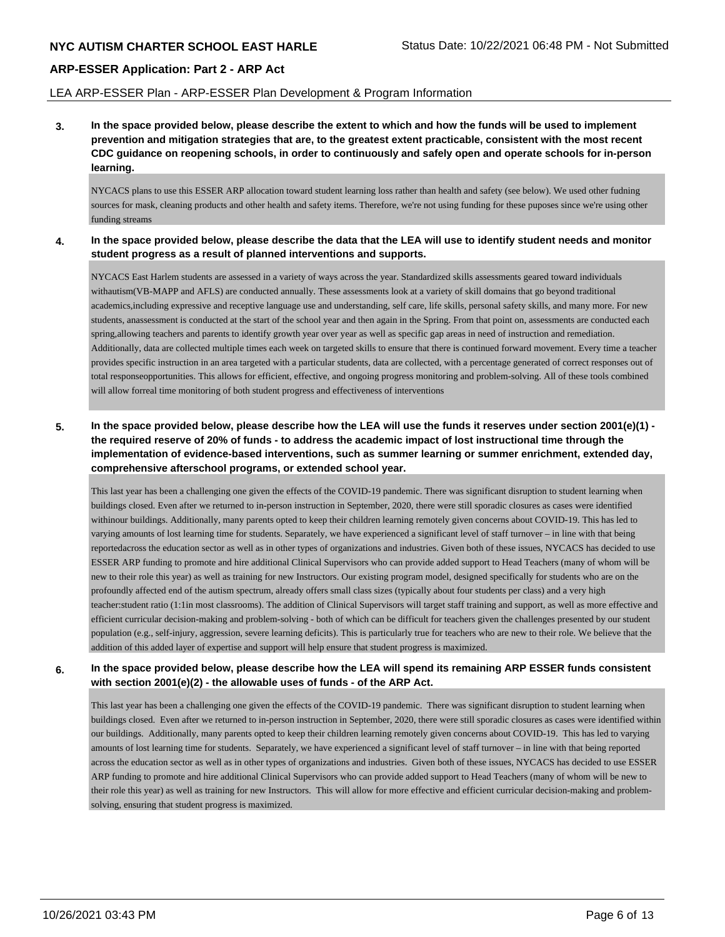#### LEA ARP-ESSER Plan - ARP-ESSER Plan Development & Program Information

**3. In the space provided below, please describe the extent to which and how the funds will be used to implement prevention and mitigation strategies that are, to the greatest extent practicable, consistent with the most recent CDC guidance on reopening schools, in order to continuously and safely open and operate schools for in-person learning.**

NYCACS plans to use this ESSER ARP allocation toward student learning loss rather than health and safety (see below). We used other fudning sources for mask, cleaning products and other health and safety items. Therefore, we're not using funding for these puposes since we're using other funding streams

#### **4. In the space provided below, please describe the data that the LEA will use to identify student needs and monitor student progress as a result of planned interventions and supports.**

NYCACS East Harlem students are assessed in a variety of ways across the year. Standardized skills assessments geared toward individuals withautism(VB-MAPP and AFLS) are conducted annually. These assessments look at a variety of skill domains that go beyond traditional academics,including expressive and receptive language use and understanding, self care, life skills, personal safety skills, and many more. For new students, anassessment is conducted at the start of the school year and then again in the Spring. From that point on, assessments are conducted each spring,allowing teachers and parents to identify growth year over year as well as specific gap areas in need of instruction and remediation. Additionally, data are collected multiple times each week on targeted skills to ensure that there is continued forward movement. Every time a teacher provides specific instruction in an area targeted with a particular students, data are collected, with a percentage generated of correct responses out of total responseopportunities. This allows for efficient, effective, and ongoing progress monitoring and problem-solving. All of these tools combined will allow forreal time monitoring of both student progress and effectiveness of interventions

## **5. In the space provided below, please describe how the LEA will use the funds it reserves under section 2001(e)(1) the required reserve of 20% of funds - to address the academic impact of lost instructional time through the implementation of evidence-based interventions, such as summer learning or summer enrichment, extended day, comprehensive afterschool programs, or extended school year.**

This last year has been a challenging one given the effects of the COVID-19 pandemic. There was significant disruption to student learning when buildings closed. Even after we returned to in-person instruction in September, 2020, there were still sporadic closures as cases were identified withinour buildings. Additionally, many parents opted to keep their children learning remotely given concerns about COVID-19. This has led to varying amounts of lost learning time for students. Separately, we have experienced a significant level of staff turnover – in line with that being reportedacross the education sector as well as in other types of organizations and industries. Given both of these issues, NYCACS has decided to use ESSER ARP funding to promote and hire additional Clinical Supervisors who can provide added support to Head Teachers (many of whom will be new to their role this year) as well as training for new Instructors. Our existing program model, designed specifically for students who are on the profoundly affected end of the autism spectrum, already offers small class sizes (typically about four students per class) and a very high teacher:student ratio (1:1in most classrooms). The addition of Clinical Supervisors will target staff training and support, as well as more effective and efficient curricular decision-making and problem-solving - both of which can be difficult for teachers given the challenges presented by our student population (e.g., self-injury, aggression, severe learning deficits). This is particularly true for teachers who are new to their role. We believe that the addition of this added layer of expertise and support will help ensure that student progress is maximized.

**6. In the space provided below, please describe how the LEA will spend its remaining ARP ESSER funds consistent with section 2001(e)(2) - the allowable uses of funds - of the ARP Act.**

This last year has been a challenging one given the effects of the COVID-19 pandemic. There was significant disruption to student learning when buildings closed. Even after we returned to in-person instruction in September, 2020, there were still sporadic closures as cases were identified within our buildings. Additionally, many parents opted to keep their children learning remotely given concerns about COVID-19. This has led to varying amounts of lost learning time for students. Separately, we have experienced a significant level of staff turnover – in line with that being reported across the education sector as well as in other types of organizations and industries. Given both of these issues, NYCACS has decided to use ESSER ARP funding to promote and hire additional Clinical Supervisors who can provide added support to Head Teachers (many of whom will be new to their role this year) as well as training for new Instructors. This will allow for more effective and efficient curricular decision-making and problemsolving, ensuring that student progress is maximized.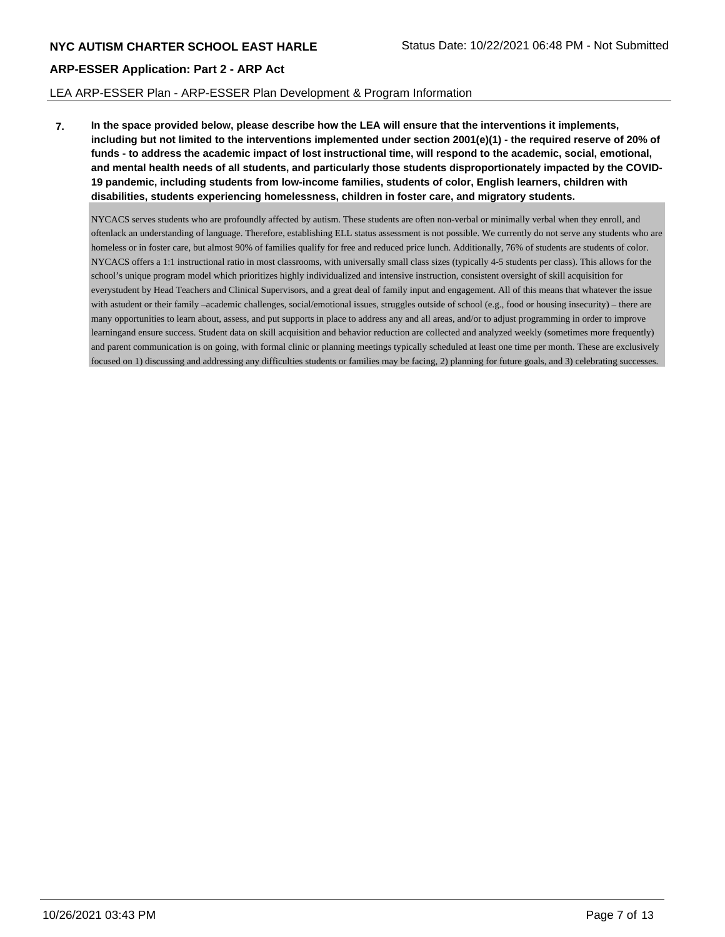## LEA ARP-ESSER Plan - ARP-ESSER Plan Development & Program Information

**7. In the space provided below, please describe how the LEA will ensure that the interventions it implements, including but not limited to the interventions implemented under section 2001(e)(1) - the required reserve of 20% of funds - to address the academic impact of lost instructional time, will respond to the academic, social, emotional, and mental health needs of all students, and particularly those students disproportionately impacted by the COVID-19 pandemic, including students from low-income families, students of color, English learners, children with disabilities, students experiencing homelessness, children in foster care, and migratory students.**

NYCACS serves students who are profoundly affected by autism. These students are often non-verbal or minimally verbal when they enroll, and oftenlack an understanding of language. Therefore, establishing ELL status assessment is not possible. We currently do not serve any students who are homeless or in foster care, but almost 90% of families qualify for free and reduced price lunch. Additionally, 76% of students are students of color. NYCACS offers a 1:1 instructional ratio in most classrooms, with universally small class sizes (typically 4-5 students per class). This allows for the school's unique program model which prioritizes highly individualized and intensive instruction, consistent oversight of skill acquisition for everystudent by Head Teachers and Clinical Supervisors, and a great deal of family input and engagement. All of this means that whatever the issue with astudent or their family –academic challenges, social/emotional issues, struggles outside of school (e.g., food or housing insecurity) – there are many opportunities to learn about, assess, and put supports in place to address any and all areas, and/or to adjust programming in order to improve learningand ensure success. Student data on skill acquisition and behavior reduction are collected and analyzed weekly (sometimes more frequently) and parent communication is on going, with formal clinic or planning meetings typically scheduled at least one time per month. These are exclusively focused on 1) discussing and addressing any difficulties students or families may be facing, 2) planning for future goals, and 3) celebrating successes.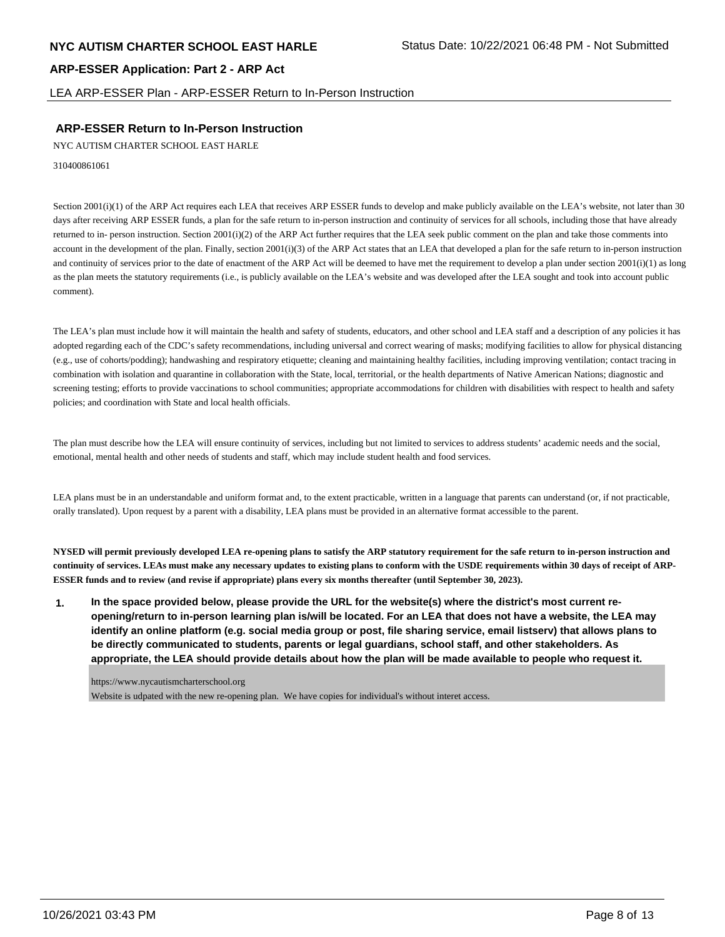LEA ARP-ESSER Plan - ARP-ESSER Return to In-Person Instruction

## **ARP-ESSER Return to In-Person Instruction**

NYC AUTISM CHARTER SCHOOL EAST HARLE

310400861061

Section 2001(i)(1) of the ARP Act requires each LEA that receives ARP ESSER funds to develop and make publicly available on the LEA's website, not later than 30 days after receiving ARP ESSER funds, a plan for the safe return to in-person instruction and continuity of services for all schools, including those that have already returned to in- person instruction. Section 2001(i)(2) of the ARP Act further requires that the LEA seek public comment on the plan and take those comments into account in the development of the plan. Finally, section 2001(i)(3) of the ARP Act states that an LEA that developed a plan for the safe return to in-person instruction and continuity of services prior to the date of enactment of the ARP Act will be deemed to have met the requirement to develop a plan under section  $2001(i)(1)$  as long as the plan meets the statutory requirements (i.e., is publicly available on the LEA's website and was developed after the LEA sought and took into account public comment).

The LEA's plan must include how it will maintain the health and safety of students, educators, and other school and LEA staff and a description of any policies it has adopted regarding each of the CDC's safety recommendations, including universal and correct wearing of masks; modifying facilities to allow for physical distancing (e.g., use of cohorts/podding); handwashing and respiratory etiquette; cleaning and maintaining healthy facilities, including improving ventilation; contact tracing in combination with isolation and quarantine in collaboration with the State, local, territorial, or the health departments of Native American Nations; diagnostic and screening testing; efforts to provide vaccinations to school communities; appropriate accommodations for children with disabilities with respect to health and safety policies; and coordination with State and local health officials.

The plan must describe how the LEA will ensure continuity of services, including but not limited to services to address students' academic needs and the social, emotional, mental health and other needs of students and staff, which may include student health and food services.

LEA plans must be in an understandable and uniform format and, to the extent practicable, written in a language that parents can understand (or, if not practicable, orally translated). Upon request by a parent with a disability, LEA plans must be provided in an alternative format accessible to the parent.

**NYSED will permit previously developed LEA re-opening plans to satisfy the ARP statutory requirement for the safe return to in-person instruction and continuity of services. LEAs must make any necessary updates to existing plans to conform with the USDE requirements within 30 days of receipt of ARP-ESSER funds and to review (and revise if appropriate) plans every six months thereafter (until September 30, 2023).**

**1. In the space provided below, please provide the URL for the website(s) where the district's most current reopening/return to in-person learning plan is/will be located. For an LEA that does not have a website, the LEA may identify an online platform (e.g. social media group or post, file sharing service, email listserv) that allows plans to be directly communicated to students, parents or legal guardians, school staff, and other stakeholders. As appropriate, the LEA should provide details about how the plan will be made available to people who request it.**

https://www.nycautismcharterschool.org

Website is udpated with the new re-opening plan. We have copies for individual's without interet access.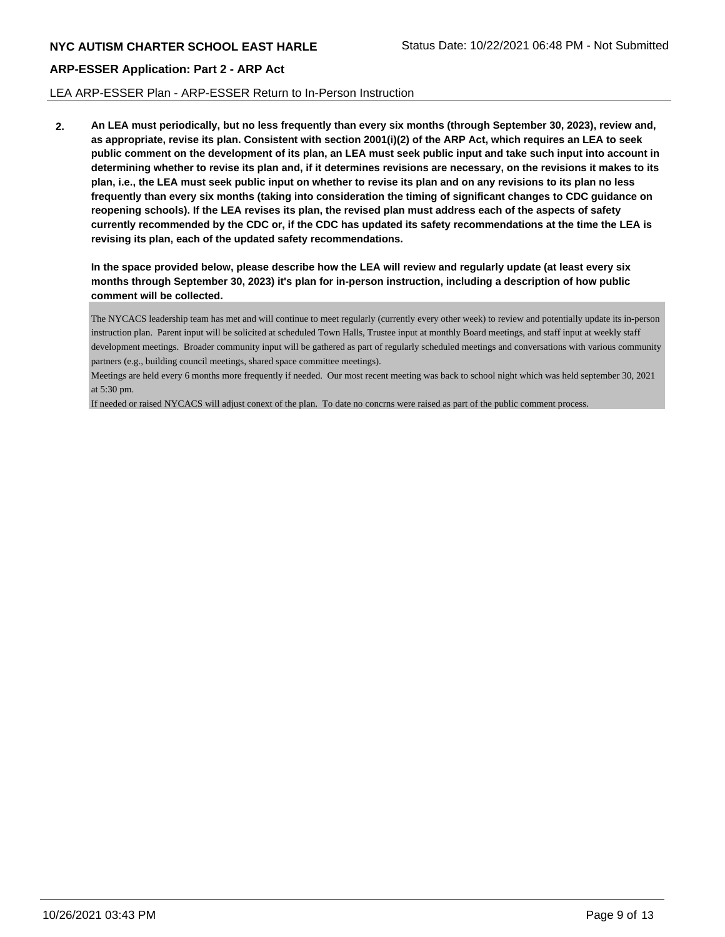## LEA ARP-ESSER Plan - ARP-ESSER Return to In-Person Instruction

**2. An LEA must periodically, but no less frequently than every six months (through September 30, 2023), review and, as appropriate, revise its plan. Consistent with section 2001(i)(2) of the ARP Act, which requires an LEA to seek public comment on the development of its plan, an LEA must seek public input and take such input into account in determining whether to revise its plan and, if it determines revisions are necessary, on the revisions it makes to its plan, i.e., the LEA must seek public input on whether to revise its plan and on any revisions to its plan no less frequently than every six months (taking into consideration the timing of significant changes to CDC guidance on reopening schools). If the LEA revises its plan, the revised plan must address each of the aspects of safety currently recommended by the CDC or, if the CDC has updated its safety recommendations at the time the LEA is revising its plan, each of the updated safety recommendations.**

**In the space provided below, please describe how the LEA will review and regularly update (at least every six months through September 30, 2023) it's plan for in-person instruction, including a description of how public comment will be collected.**

The NYCACS leadership team has met and will continue to meet regularly (currently every other week) to review and potentially update its in-person instruction plan. Parent input will be solicited at scheduled Town Halls, Trustee input at monthly Board meetings, and staff input at weekly staff development meetings. Broader community input will be gathered as part of regularly scheduled meetings and conversations with various community partners (e.g., building council meetings, shared space committee meetings).

Meetings are held every 6 months more frequently if needed. Our most recent meeting was back to school night which was held september 30, 2021 at 5:30 pm.

If needed or raised NYCACS will adjust conext of the plan. To date no concrns were raised as part of the public comment process.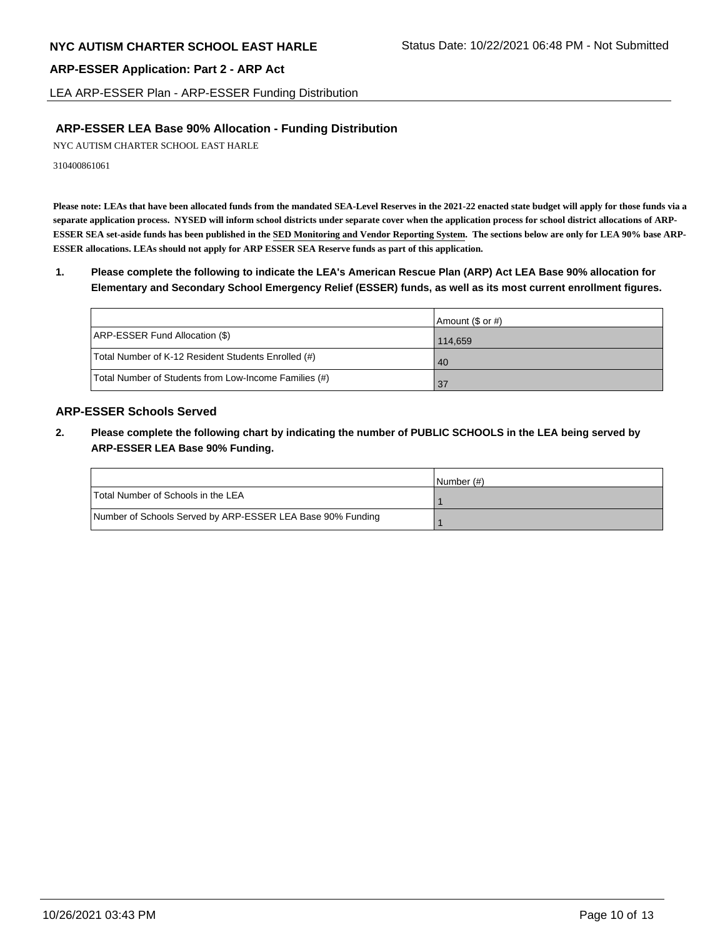LEA ARP-ESSER Plan - ARP-ESSER Funding Distribution

## **ARP-ESSER LEA Base 90% Allocation - Funding Distribution**

NYC AUTISM CHARTER SCHOOL EAST HARLE

310400861061

**Please note: LEAs that have been allocated funds from the mandated SEA-Level Reserves in the 2021-22 enacted state budget will apply for those funds via a separate application process. NYSED will inform school districts under separate cover when the application process for school district allocations of ARP-ESSER SEA set-aside funds has been published in the SED Monitoring and Vendor Reporting System. The sections below are only for LEA 90% base ARP-ESSER allocations. LEAs should not apply for ARP ESSER SEA Reserve funds as part of this application.**

## **1. Please complete the following to indicate the LEA's American Rescue Plan (ARP) Act LEA Base 90% allocation for Elementary and Secondary School Emergency Relief (ESSER) funds, as well as its most current enrollment figures.**

|                                                       | Amount (\$ or #) |
|-------------------------------------------------------|------------------|
| ARP-ESSER Fund Allocation (\$)                        | 114,659          |
| Total Number of K-12 Resident Students Enrolled (#)   | 40               |
| Total Number of Students from Low-Income Families (#) | 137              |

## **ARP-ESSER Schools Served**

**2. Please complete the following chart by indicating the number of PUBLIC SCHOOLS in the LEA being served by ARP-ESSER LEA Base 90% Funding.**

|                                                            | INumber (#) |
|------------------------------------------------------------|-------------|
| Total Number of Schools in the LEA                         |             |
| Number of Schools Served by ARP-ESSER LEA Base 90% Funding |             |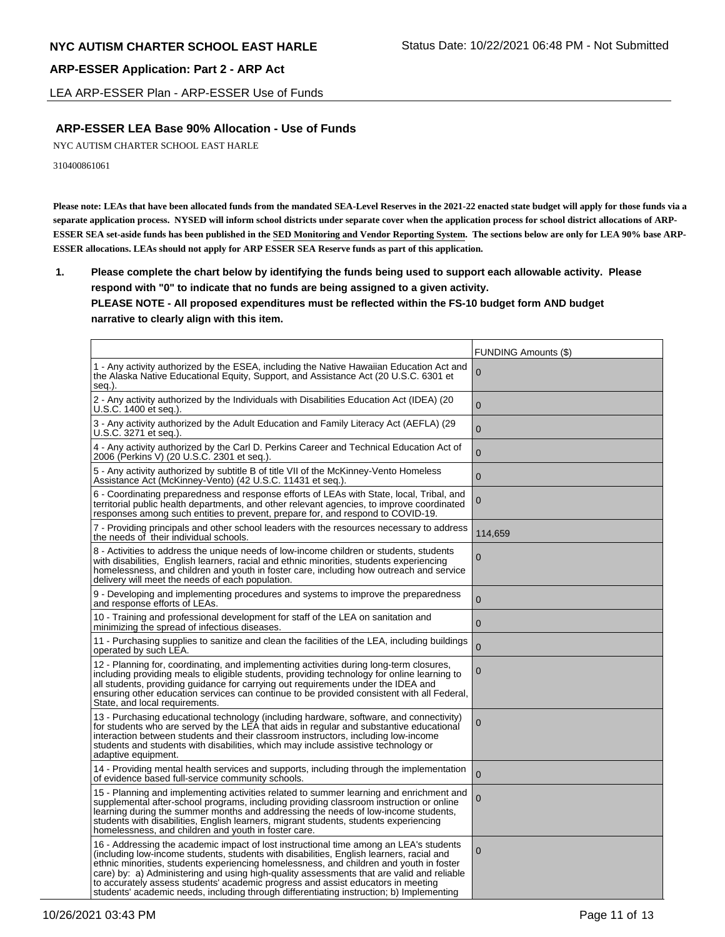LEA ARP-ESSER Plan - ARP-ESSER Use of Funds

## **ARP-ESSER LEA Base 90% Allocation - Use of Funds**

NYC AUTISM CHARTER SCHOOL EAST HARLE

310400861061

**Please note: LEAs that have been allocated funds from the mandated SEA-Level Reserves in the 2021-22 enacted state budget will apply for those funds via a separate application process. NYSED will inform school districts under separate cover when the application process for school district allocations of ARP-ESSER SEA set-aside funds has been published in the SED Monitoring and Vendor Reporting System. The sections below are only for LEA 90% base ARP-ESSER allocations. LEAs should not apply for ARP ESSER SEA Reserve funds as part of this application.**

**1. Please complete the chart below by identifying the funds being used to support each allowable activity. Please respond with "0" to indicate that no funds are being assigned to a given activity. PLEASE NOTE - All proposed expenditures must be reflected within the FS-10 budget form AND budget narrative to clearly align with this item.**

|                                                                                                                                                                                                                                                                                                                                                                                                                                                                                                                                                            | <b>FUNDING Amounts (\$)</b> |
|------------------------------------------------------------------------------------------------------------------------------------------------------------------------------------------------------------------------------------------------------------------------------------------------------------------------------------------------------------------------------------------------------------------------------------------------------------------------------------------------------------------------------------------------------------|-----------------------------|
| 1 - Any activity authorized by the ESEA, including the Native Hawaiian Education Act and<br>the Alaska Native Educational Equity, Support, and Assistance Act (20 U.S.C. 6301 et<br>seq.).                                                                                                                                                                                                                                                                                                                                                                 | $\Omega$                    |
| 2 - Any activity authorized by the Individuals with Disabilities Education Act (IDEA) (20<br>U.S.C. 1400 et seq.).                                                                                                                                                                                                                                                                                                                                                                                                                                         | $\mathbf{0}$                |
| 3 - Any activity authorized by the Adult Education and Family Literacy Act (AEFLA) (29<br>U.S.C. 3271 et seq.).                                                                                                                                                                                                                                                                                                                                                                                                                                            | $\overline{0}$              |
| 4 - Any activity authorized by the Carl D. Perkins Career and Technical Education Act of<br>2006 (Perkins V) (20 U.S.C. 2301 et seq.).                                                                                                                                                                                                                                                                                                                                                                                                                     | $\overline{0}$              |
| 5 - Any activity authorized by subtitle B of title VII of the McKinney-Vento Homeless<br>Assistance Act (McKinney-Vento) (42 U.S.C. 11431 et seq.).                                                                                                                                                                                                                                                                                                                                                                                                        | $\mathbf{0}$                |
| 6 - Coordinating preparedness and response efforts of LEAs with State, local, Tribal, and<br>territorial public health departments, and other relevant agencies, to improve coordinated<br>responses among such entities to prevent, prepare for, and respond to COVID-19.                                                                                                                                                                                                                                                                                 | 0                           |
| 7 - Providing principals and other school leaders with the resources necessary to address<br>the needs of their individual schools.                                                                                                                                                                                                                                                                                                                                                                                                                        | 114,659                     |
| 8 - Activities to address the unique needs of low-income children or students, students<br>with disabilities, English learners, racial and ethnic minorities, students experiencing<br>homelessness, and children and youth in foster care, including how outreach and service<br>delivery will meet the needs of each population.                                                                                                                                                                                                                         | $\mathbf{0}$                |
| 9 - Developing and implementing procedures and systems to improve the preparedness<br>and response efforts of LEAs.                                                                                                                                                                                                                                                                                                                                                                                                                                        | $\overline{0}$              |
| 10 - Training and professional development for staff of the LEA on sanitation and<br>minimizing the spread of infectious diseases.                                                                                                                                                                                                                                                                                                                                                                                                                         | $\mathbf{0}$                |
| 11 - Purchasing supplies to sanitize and clean the facilities of the LEA, including buildings<br>operated by such LEA.                                                                                                                                                                                                                                                                                                                                                                                                                                     | $\overline{0}$              |
| 12 - Planning for, coordinating, and implementing activities during long-term closures,<br>including providing meals to eligible students, providing technology for online learning to<br>all students, providing guidance for carrying out requirements under the IDEA and<br>ensuring other education services can continue to be provided consistent with all Federal,<br>State, and local requirements.                                                                                                                                                | 0                           |
| 13 - Purchasing educational technology (including hardware, software, and connectivity)<br>for students who are served by the LEA that aids in regular and substantive educational<br>interaction between students and their classroom instructors, including low-income<br>students and students with disabilities, which may include assistive technology or<br>adaptive equipment.                                                                                                                                                                      | $\mathbf 0$                 |
| 14 - Providing mental health services and supports, including through the implementation<br>of evidence based full-service community schools.                                                                                                                                                                                                                                                                                                                                                                                                              | $\mathbf 0$                 |
| 15 - Planning and implementing activities related to summer learning and enrichment and<br>supplemental after-school programs, including providing classroom instruction or online<br>learning during the summer months and addressing the needs of low-income students,<br>students with disabilities, English learners, migrant students, students experiencing<br>homelessness, and children and youth in foster care.                                                                                                                                  | $\overline{0}$              |
| 16 - Addressing the academic impact of lost instructional time among an LEA's students<br>(including low-income students, students with disabilities, English learners, racial and<br>ethnic minorities, students experiencing homelessness, and children and youth in foster<br>care) by: a) Administering and using high-quality assessments that are valid and reliable<br>to accurately assess students' academic progress and assist educators in meeting<br>students' academic needs, including through differentiating instruction; b) Implementing | $\Omega$                    |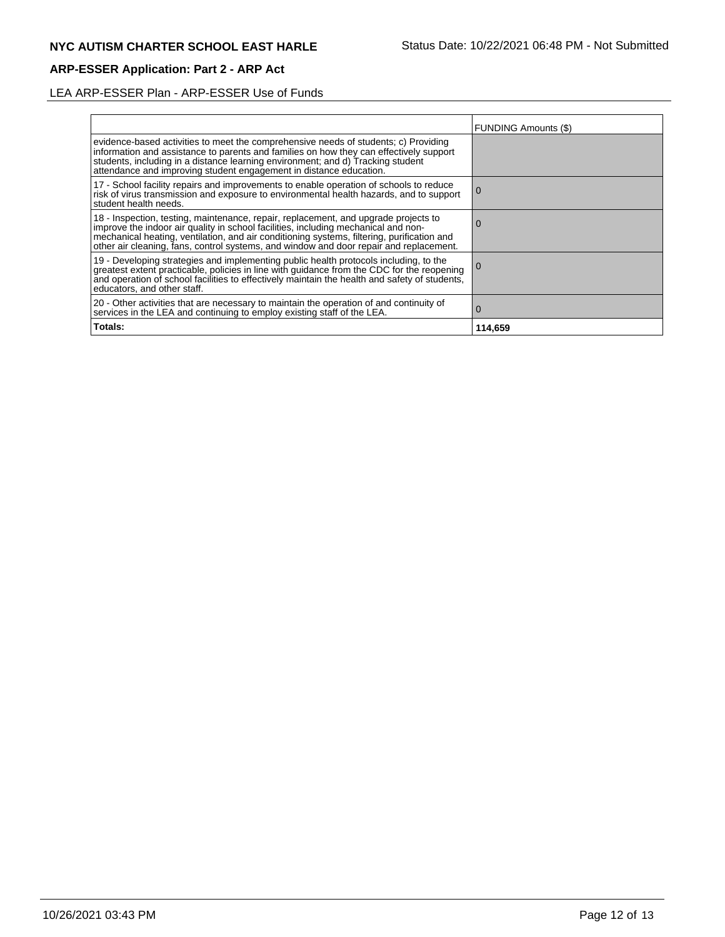# LEA ARP-ESSER Plan - ARP-ESSER Use of Funds

|                                                                                                                                                                                                                                                                                                                                                                | <b>FUNDING Amounts (\$)</b> |
|----------------------------------------------------------------------------------------------------------------------------------------------------------------------------------------------------------------------------------------------------------------------------------------------------------------------------------------------------------------|-----------------------------|
| evidence-based activities to meet the comprehensive needs of students; c) Providing<br>information and assistance to parents and families on how they can effectively support<br>students, including in a distance learning environment; and d) Tracking student<br>attendance and improving student engagement in distance education.                         |                             |
| 17 - School facility repairs and improvements to enable operation of schools to reduce<br>risk of virus transmission and exposure to environmental health hazards, and to support<br>student health needs.                                                                                                                                                     | $\Omega$                    |
| 18 - Inspection, testing, maintenance, repair, replacement, and upgrade projects to improve the indoor air quality in school facilities, including mechanical and non-<br>mechanical heating, ventilation, and air conditioning systems, filtering, purification and<br>other air cleaning, fans, control systems, and window and door repair and replacement. | O                           |
| 19 - Developing strategies and implementing public health protocols including, to the<br>greatest extent practicable, policies in line with guidance from the CDC for the reopening<br>and operation of school facilities to effectively maintain the health and safety of students,<br>educators, and other staff.                                            | l O                         |
| 20 - Other activities that are necessary to maintain the operation of and continuity of<br>services in the LEA and continuing to employ existing staff of the LEA.                                                                                                                                                                                             | $\Omega$                    |
| Totals:                                                                                                                                                                                                                                                                                                                                                        | 114,659                     |